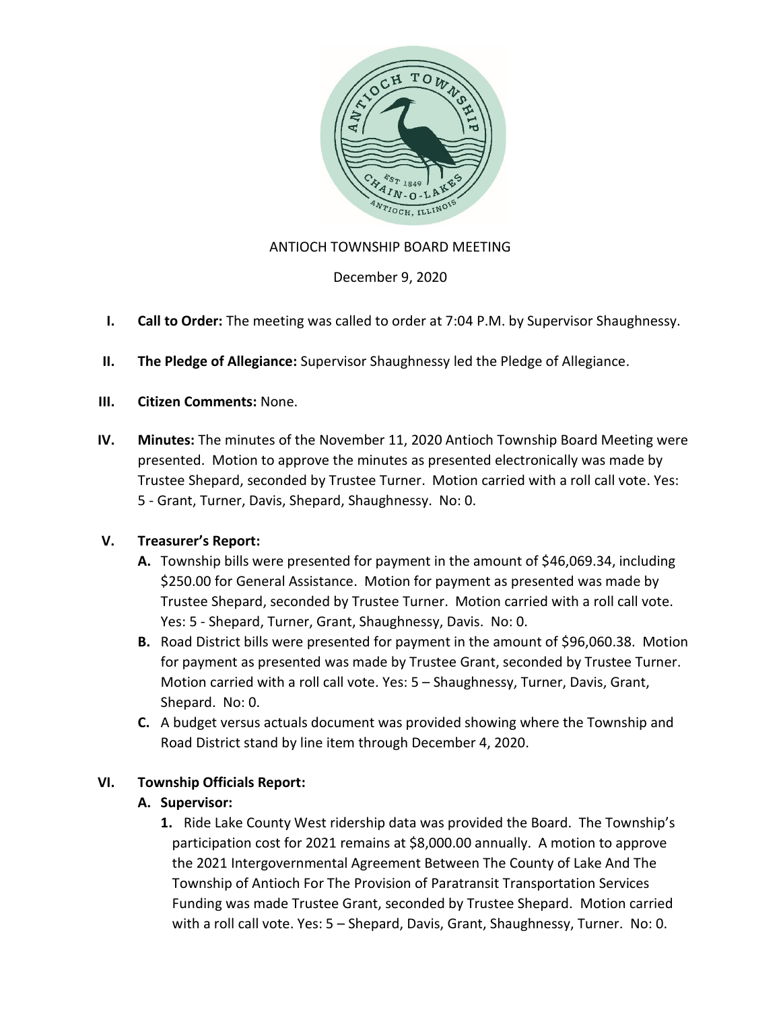

# ANTIOCH TOWNSHIP BOARD MEETING

December 9, 2020

- **I. Call to Order:** The meeting was called to order at 7:04 P.M. by Supervisor Shaughnessy.
- **II. The Pledge of Allegiance:** Supervisor Shaughnessy led the Pledge of Allegiance.
- **III. Citizen Comments:** None.
- **IV. Minutes:** The minutes of the November 11, 2020 Antioch Township Board Meeting were presented. Motion to approve the minutes as presented electronically was made by Trustee Shepard, seconded by Trustee Turner. Motion carried with a roll call vote. Yes: 5 - Grant, Turner, Davis, Shepard, Shaughnessy. No: 0.

# **V. Treasurer's Report:**

- **A.** Township bills were presented for payment in the amount of \$46,069.34, including \$250.00 for General Assistance. Motion for payment as presented was made by Trustee Shepard, seconded by Trustee Turner. Motion carried with a roll call vote. Yes: 5 - Shepard, Turner, Grant, Shaughnessy, Davis. No: 0.
- **B.** Road District bills were presented for payment in the amount of \$96,060.38. Motion for payment as presented was made by Trustee Grant, seconded by Trustee Turner. Motion carried with a roll call vote. Yes: 5 – Shaughnessy, Turner, Davis, Grant, Shepard. No: 0.
- **C.** A budget versus actuals document was provided showing where the Township and Road District stand by line item through December 4, 2020.

# **VI. Township Officials Report:**

# **A. Supervisor:**

**1.** Ride Lake County West ridership data was provided the Board. The Township's participation cost for 2021 remains at \$8,000.00 annually. A motion to approve the 2021 Intergovernmental Agreement Between The County of Lake And The Township of Antioch For The Provision of Paratransit Transportation Services Funding was made Trustee Grant, seconded by Trustee Shepard. Motion carried with a roll call vote. Yes: 5 – Shepard, Davis, Grant, Shaughnessy, Turner. No: 0.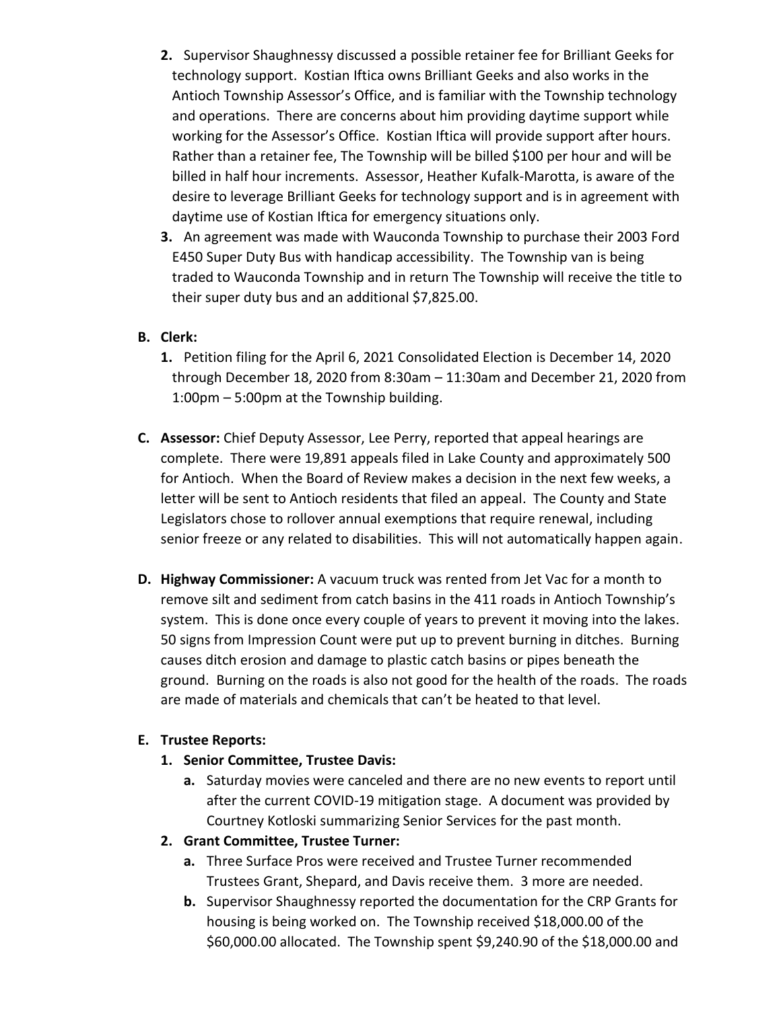- **2.** Supervisor Shaughnessy discussed a possible retainer fee for Brilliant Geeks for technology support. Kostian Iftica owns Brilliant Geeks and also works in the Antioch Township Assessor's Office, and is familiar with the Township technology and operations. There are concerns about him providing daytime support while working for the Assessor's Office. Kostian Iftica will provide support after hours. Rather than a retainer fee, The Township will be billed \$100 per hour and will be billed in half hour increments. Assessor, Heather Kufalk-Marotta, is aware of the desire to leverage Brilliant Geeks for technology support and is in agreement with daytime use of Kostian Iftica for emergency situations only.
- **3.** An agreement was made with Wauconda Township to purchase their 2003 Ford E450 Super Duty Bus with handicap accessibility. The Township van is being traded to Wauconda Township and in return The Township will receive the title to their super duty bus and an additional \$7,825.00.

### **B. Clerk:**

- **1.** Petition filing for the April 6, 2021 Consolidated Election is December 14, 2020 through December 18, 2020 from 8:30am – 11:30am and December 21, 2020 from 1:00pm – 5:00pm at the Township building.
- **C. Assessor:** Chief Deputy Assessor, Lee Perry, reported that appeal hearings are complete. There were 19,891 appeals filed in Lake County and approximately 500 for Antioch. When the Board of Review makes a decision in the next few weeks, a letter will be sent to Antioch residents that filed an appeal. The County and State Legislators chose to rollover annual exemptions that require renewal, including senior freeze or any related to disabilities. This will not automatically happen again.
- **D. Highway Commissioner:** A vacuum truck was rented from Jet Vac for a month to remove silt and sediment from catch basins in the 411 roads in Antioch Township's system. This is done once every couple of years to prevent it moving into the lakes. 50 signs from Impression Count were put up to prevent burning in ditches. Burning causes ditch erosion and damage to plastic catch basins or pipes beneath the ground. Burning on the roads is also not good for the health of the roads. The roads are made of materials and chemicals that can't be heated to that level.

#### **E. Trustee Reports:**

- **1. Senior Committee, Trustee Davis:**
	- **a.** Saturday movies were canceled and there are no new events to report until after the current COVID-19 mitigation stage. A document was provided by Courtney Kotloski summarizing Senior Services for the past month.
- **2. Grant Committee, Trustee Turner:** 
	- **a.** Three Surface Pros were received and Trustee Turner recommended Trustees Grant, Shepard, and Davis receive them. 3 more are needed.
	- **b.** Supervisor Shaughnessy reported the documentation for the CRP Grants for housing is being worked on. The Township received \$18,000.00 of the \$60,000.00 allocated. The Township spent \$9,240.90 of the \$18,000.00 and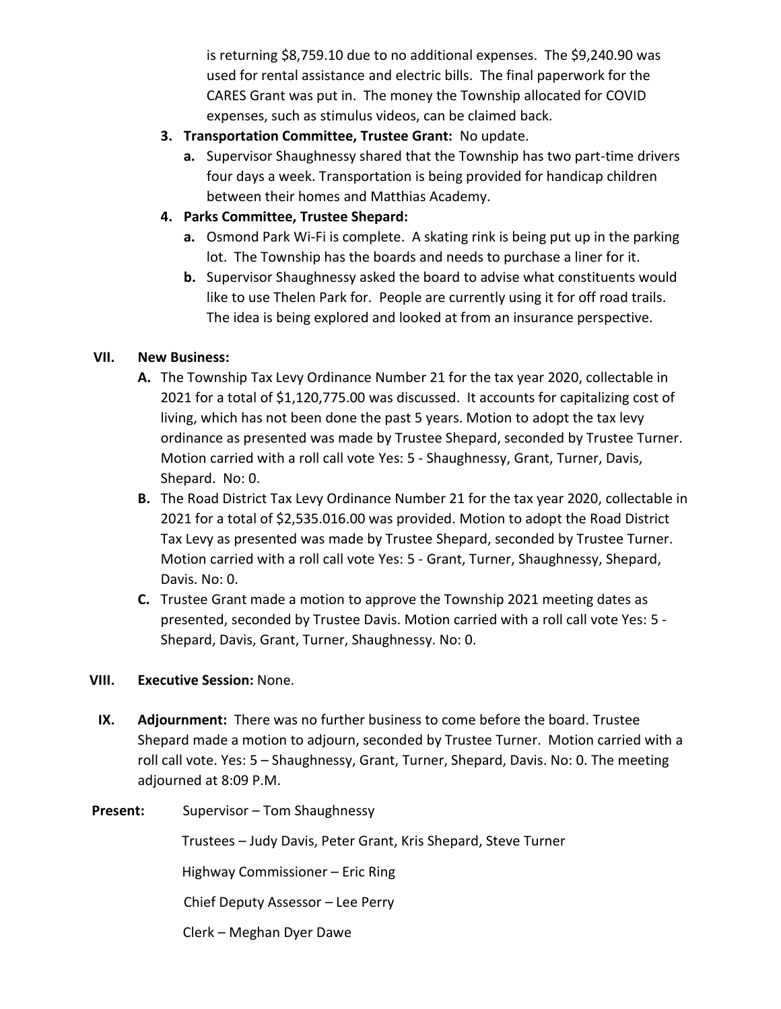is returning \$8,759.10 due to no additional expenses. The \$9,240.90 was used for rental assistance and electric bills. The final paperwork for the CARES Grant was put in. The money the Township allocated for COVID expenses, such as stimulus videos, can be claimed back.

- **3. Transportation Committee, Trustee Grant:** No update.
	- **a.** Supervisor Shaughnessy shared that the Township has two part-time drivers four days a week. Transportation is being provided for handicap children between their homes and Matthias Academy.
- **4. Parks Committee, Trustee Shepard:** 
	- **a.** Osmond Park Wi-Fi is complete. A skating rink is being put up in the parking lot. The Township has the boards and needs to purchase a liner for it.
	- **b.** Supervisor Shaughnessy asked the board to advise what constituents would like to use Thelen Park for. People are currently using it for off road trails. The idea is being explored and looked at from an insurance perspective.

# **VII. New Business:**

- **A.** The Township Tax Levy Ordinance Number 21 for the tax year 2020, collectable in 2021 for a total of \$1,120,775.00 was discussed. It accounts for capitalizing cost of living, which has not been done the past 5 years. Motion to adopt the tax levy ordinance as presented was made by Trustee Shepard, seconded by Trustee Turner. Motion carried with a roll call vote Yes: 5 - Shaughnessy, Grant, Turner, Davis, Shepard. No: 0.
- **B.** The Road District Tax Levy Ordinance Number 21 for the tax year 2020, collectable in 2021 for a total of \$2,535.016.00 was provided. Motion to adopt the Road District Tax Levy as presented was made by Trustee Shepard, seconded by Trustee Turner. Motion carried with a roll call vote Yes: 5 - Grant, Turner, Shaughnessy, Shepard, Davis. No: 0.
- **C.** Trustee Grant made a motion to approve the Township 2021 meeting dates as presented, seconded by Trustee Davis. Motion carried with a roll call vote Yes: 5 - Shepard, Davis, Grant, Turner, Shaughnessy. No: 0.

# **VIII. Executive Session:** None.

**IX. Adjournment:** There was no further business to come before the board. Trustee Shepard made a motion to adjourn, seconded by Trustee Turner. Motion carried with a roll call vote. Yes: 5 – Shaughnessy, Grant, Turner, Shepard, Davis. No: 0. The meeting adjourned at 8:09 P.M.

# Present: Supervisor – Tom Shaughnessy

Trustees – Judy Davis, Peter Grant, Kris Shepard, Steve Turner

Highway Commissioner – Eric Ring

Chief Deputy Assessor – Lee Perry

Clerk – Meghan Dyer Dawe